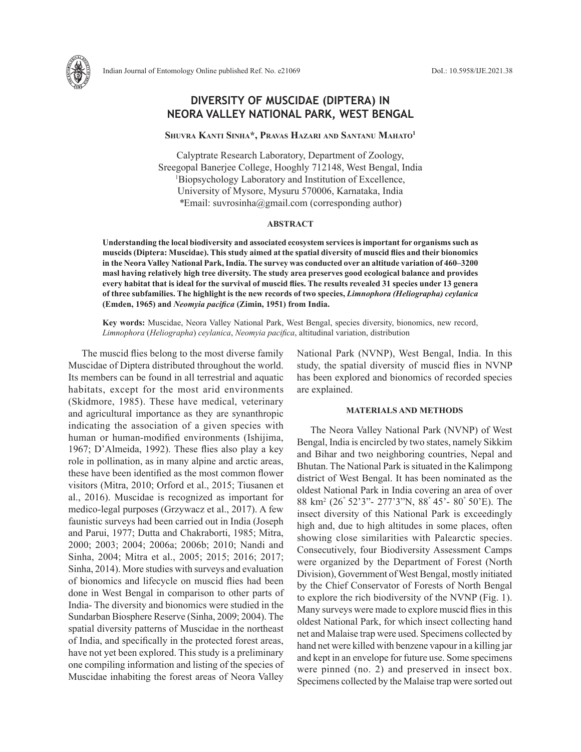

# **DIVERSITY OF MUSCIDAE (DIPTERA) IN NEORA VALLEY NATIONAL PARK, WEST BENGAL**

# **Shuvra Kanti Sinha\*, Pravas Hazari and Santanu Mahato1**

Calyptrate Research Laboratory, Department of Zoology, Sreegopal Banerjee College, Hooghly 712148, West Bengal, India 1 Biopsychology Laboratory and Institution of Excellence, University of Mysore, Mysuru 570006, Karnataka, India *\**Email: suvrosinha@gmail.com (corresponding author)

#### **ABSTRACT**

**Understanding the local biodiversity and associated ecosystem services is important for organisms such as muscids (Diptera: Muscidae). This study aimed at the spatial diversity of muscid flies and their bionomics in the Neora Valley National Park, India. The survey was conducted over an altitude variation of 460–3200 masl having relatively high tree diversity. The study area preserves good ecological balance and provides every habitat that is ideal for the survival of muscid flies. The results revealed 31 species under 13 genera of three subfamilies. The highlight is the new records of two species,** *Limnophora (Heliographa) ceylanica* **(Emden, 1965) and** *Neomyia pacifica* **(Zimin, 1951) from India.** 

**Key words:** Muscidae, Neora Valley National Park, West Bengal, species diversity, bionomics, new record, *Limnophora* (*Heliographa*) *ceylanica*, *Neomyia pacifica*, altitudinal variation, distribution

The muscid flies belong to the most diverse family Muscidae of Diptera distributed throughout the world. Its members can be found in all terrestrial and aquatic habitats, except for the most arid environments (Skidmore, 1985). These have medical, veterinary and agricultural importance as they are synanthropic indicating the association of a given species with human or human-modified environments (Ishijima, 1967; D'Almeida, 1992). These flies also play a key role in pollination, as in many alpine and arctic areas, these have been identified as the most common flower visitors (Mitra, 2010; Orford et al., 2015; Tiusanen et al., 2016). Muscidae is recognized as important for medico-legal purposes (Grzywacz et al., 2017). A few faunistic surveys had been carried out in India (Joseph and Parui, 1977; Dutta and Chakraborti, 1985; Mitra, 2000; 2003; 2004; 2006a; 2006b; 2010; Nandi and Sinha, 2004; Mitra et al., 2005; 2015; 2016; 2017; Sinha, 2014). More studies with surveys and evaluation of bionomics and lifecycle on muscid flies had been done in West Bengal in comparison to other parts of India- The diversity and bionomics were studied in the Sundarban Biosphere Reserve (Sinha, 2009; 2004). The spatial diversity patterns of Muscidae in the northeast of India, and specifically in the protected forest areas, have not yet been explored. This study is a preliminary one compiling information and listing of the species of Muscidae inhabiting the forest areas of Neora Valley

National Park (NVNP), West Bengal, India. In this study, the spatial diversity of muscid flies in NVNP has been explored and bionomics of recorded species are explained.

#### **MATERIALS AND METHODS**

The Neora Valley National Park (NVNP) of West Bengal, India is encircled by two states, namely Sikkim and Bihar and two neighboring countries, Nepal and Bhutan. The National Park is situated in the Kalimpong district of West Bengal. It has been nominated as the oldest National Park in India covering an area of over 88 km2 (26゚52'3"- 277'3"N, 88゚45'- 80゚50'E). The insect diversity of this National Park is exceedingly high and, due to high altitudes in some places, often showing close similarities with Palearctic species. Consecutively, four Biodiversity Assessment Camps were organized by the Department of Forest (North Division), Government of West Bengal, mostly initiated by the Chief Conservator of Forests of North Bengal to explore the rich biodiversity of the NVNP (Fig. 1). Many surveys were made to explore muscid flies in this oldest National Park, for which insect collecting hand net and Malaise trap were used. Specimens collected by hand net were killed with benzene vapour in a killing jar and kept in an envelope for future use. Some specimens were pinned (no. 2) and preserved in insect box. Specimens collected by the Malaise trap were sorted out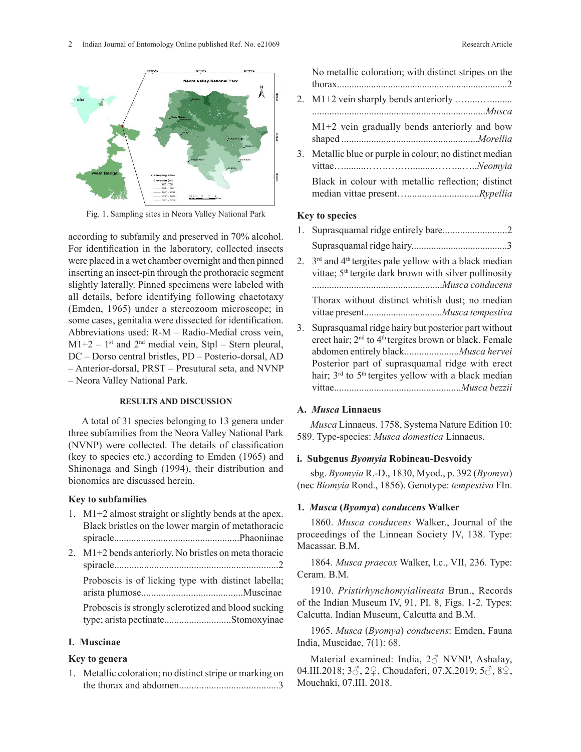

Fig. 1. Sampling sites in Neora Valley National Park

#### **RESULTS AND DISCUSSION**

A total of 31 species belonging to 13 genera under three subfamilies from the Neora Valley National Park (NVNP) were collected. The details of classification (key to species etc.) according to Emden (1965) and Shinonaga and Singh (1994), their distribution and bionomics are discussed herein.

# **Key to subfamilies**

1. M1+2 almost straight or slightly bends at the apex. Black bristles on the lower margin of metathoracic spiracle...................................................Phaoniinae 2. M1+2 bends anteriorly. No bristles on meta thoracic spiracle..................................................................2 Proboscis is of licking type with distinct labella; arista plumose.........................................Muscinae Proboscis is strongly sclerotized and blood sucking type; arista pectinate..............................Stomoxyinae Calcutta. Indian Museum, Calcutta and B.M.

# **I. Muscinae**

# **Key to genera**

1. Metallic coloration; no distinct stripe or marking on the thorax and abdomen........................................3 *Limnophora* (*Heliographa*) *tonsa* Stein*,* (15) *Limnophora* (*Heliographa*) *ceylanica* (Emden, 1965).

|    | No metallic coloration; with distinct stripes on the  |
|----|-------------------------------------------------------|
|    |                                                       |
|    |                                                       |
|    | $M1+2$ vein gradually bends anteriorly and bow        |
| 3. | Metallic blue or purple in colour; no distinct median |
|    | Black in colour with metallic reflection; distinct    |
|    |                                                       |

# **Key to species**

| according to subfamily and preserved in 70% alcohol.                                                                                                                                                                                                                                                                                                                                                          |    |                                                                                                                                                                                                                                                       |
|---------------------------------------------------------------------------------------------------------------------------------------------------------------------------------------------------------------------------------------------------------------------------------------------------------------------------------------------------------------------------------------------------------------|----|-------------------------------------------------------------------------------------------------------------------------------------------------------------------------------------------------------------------------------------------------------|
| For identification in the laboratory, collected insects<br>were placed in a wet chamber overnight and then pinned<br>inserting an insect-pin through the prothoracic segment<br>slightly laterally. Pinned specimens were labeled with<br>all details, before identifying following chaetotaxy<br>(Emden, 1965) under a stereozoom microscope; in<br>some cases, genitalia were dissected for identification. | 3. | 2. $3rd$ and 4 <sup>th</sup> tergites pale yellow with a black median<br>vittae; 5 <sup>th</sup> tergite dark brown with silver pollinosity<br>Thorax without distinct whitish dust; no median<br>Suprasquamal ridge hairy but posterior part without |
| Abbreviations used: R-M - Radio-Medial cross vein,<br>$M1+2-1$ <sup>st</sup> and $2nd$ medial vein, Stpl – Stern pleural,<br>DC – Dorso central bristles, PD – Posterio-dorsal, AD<br>- Anterior-dorsal, PRST - Presutural seta, and NVNP<br>Noora Valley National Dark                                                                                                                                       |    | erect hair; 2 <sup>nd</sup> to 4 <sup>th</sup> tergites brown or black. Female<br>Posterior part of suprasquamal ridge with erect<br>hair; $3rd$ to $5th$ tergites yellow with a black median                                                         |

# **A.** *Musca* **Linnaeus**

*Musca* Linnaeus. 1758, Systema Nature Edition 10: 589. Type-species: *Musca domestica* Linnaeus.

vittae...................................................*Musca bezzii*

# **i. Subgenus** *Byomyia* **Robineau-Desvoidy**

sbg. *Byomyia* R.-D., 1830, Myod., p. 392 (*Byomya*) (nec *Biomyia* Rond., 1856). Genotype: *tempestiva* FIn.

#### **1.** *Musca* **(***Byomya***)** *conducens* **Walker**

1860. *Musca conducens* Walker., Journal of the proceedings of the Linnean Society IV, 138. Type: Macassar. B.M.

1864. *Musca praecox* Walker, l.c., VII, 236. Type: Ceram. B.M.

1910. *Pristirhynchomyialineata* Brun., Records of the Indian Museum IV, 91, PI. 8, Figs. 1-2. Types: Calcutta. Indian Museum, Calcutta and B.M.

*conducens conducens*: Emden, Fauna *conducens conducens*: Emden, Fauna **I. Muscinae** India, Muscidae, 7(1): 68.

**Key to genera** Material examined: India,  $2\textcircled{}$  NVNP, Ashalay, 04.III.2018; 3♂, 2♀, Choudaferi, 07.X.2019; 5♂, 8♀, *Dichaetomyia indica* (Walker), (12) *Dichaetomyia bibax,* (13) *Dichaetomyia nubiana* (Bigot), (14) Mouchaki, 07.III. 2018.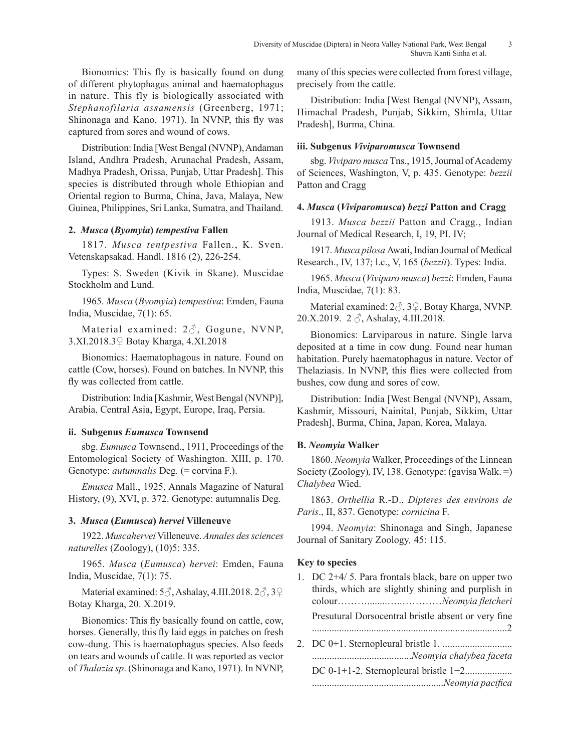Bionomics: This fly is basically found on dung of different phytophagus animal and haematophagus in nature. This fly is biologically associated with *Stephanofilaria assamensis* (Greenberg, 1971; Shinonaga and Kano, 1971). In NVNP, this fly was captured from sores and wound of cows.

Distribution: India [West Bengal (NVNP), Andaman Island, Andhra Pradesh, Arunachal Pradesh, Assam, Madhya Pradesh, Orissa, Punjab, Uttar Pradesh]. This species is distributed through whole Ethiopian and Oriental region to Burma, China, Java, Malaya, New Guinea, Philippines, Sri Lanka, Sumatra, and Thailand.

# **2.** *Musca* **(***Byomyia***)** *tempestiva* **Fallen**

1817. *Musca tentpestiva* Fallen., K. Sven. Vetenskapsakad. Handl. 1816 (2), 226-254.

Types: S. Sweden (Kivik in Skane). Muscidae Stockholm and Lund.

1965. *Musca* (*Byomyia*) *tempestiva*: Emden, Fauna India, Muscidae, 7(1): 65.

Material examined: 2♂, Gogune, NVNP, 3.XI.2018.3♀ Botay Kharga, 4.XI.2018

Bionomics: Haematophagous in nature. Found on cattle (Cow, horses). Found on batches. In NVNP, this fly was collected from cattle.

Distribution: India [Kashmir, West Bengal (NVNP)], Arabia, Central Asia, Egypt, Europe, Iraq, Persia.

# **ii. Subgenus** *Eumusca* **Townsend**

sbg. *Eumusca* Townsend., 1911, Proceedings of the Entomological Society of Washington. XIII, p. 170. Genotype: *autumnalis* Deg. (= corvina F.).

*Emusca* Mall., 1925, Annals Magazine of Natural History, (9), XVI, p. 372. Genotype: autumnalis Deg.

#### **3.** *Musca* **(***Eumusca***)** *hervei* **Villeneuve**

1922. *Muscahervei* Villeneuve. *Annales des sciences naturelles* (Zoology), (10)5: 335.

1965. *Musca* (*Eumusca*) *hervei*: Emden, Fauna India, Muscidae, 7(1): 75.

Material examined: 5♂, Ashalay, 4.III.2018. 2♂, 3♀ Botay Kharga, 20. X.2019.

Bionomics: This fly basically found on cattle, cow, horses. Generally, this fly laid eggs in patches on fresh cow-dung. This is haematophagus species. Also feeds on tears and wounds of cattle. It was reported as vector of *Thalazia sp*. (Shinonaga and Kano, 1971). In NVNP,

many of this species were collected from forest village, precisely from the cattle.

Distribution: India [West Bengal (NVNP), Assam, Himachal Pradesh, Punjab, Sikkim, Shimla, Uttar Pradesh], Burma, China.

# **iii. Subgenus** *Viviparomusca* **Townsend**

sbg. *Viviparo musca* Tns., 1915, Journal of Academy of Sciences, Washington, V, p. 435. Genotype: *bezzii* Patton and Cragg

## **4.** *Musca* **(***Viviparomusca***)** *bezzi* **Patton and Cragg**

1913. *Musca bezzii* Patton and Cragg., Indian Journal of Medical Research, I, 19, PI. IV;

1917. *Musca pilosa* Awati, Indian Journal of Medical Research., IV, 137; l.c., V, 165 (*bezzii*). Types: India.

1965. *Musca* (*Viviparo musca*) *bezzi*: Emden, Fauna India, Muscidae, 7(1): 83.

Material examined: 2♂, 3♀, Botay Kharga, NVNP. 20.X.2019. 2 ♂, Ashalay, 4.III.2018.

Bionomics: Larviparous in nature. Single larva deposited at a time in cow dung. Found near human habitation. Purely haematophagus in nature. Vector of Thelaziasis. In NVNP, this flies were collected from bushes, cow dung and sores of cow.

Distribution: India [West Bengal (NVNP), Assam, Kashmir, Missouri, Nainital, Punjab, Sikkim, Uttar Pradesh], Burma, China, Japan, Korea, Malaya.

#### **B.** *Neomyia* **Walker**

1860. *Neomyia* Walker, Proceedings of the Linnean Society (Zoology)*,* IV, 138. Genotype: (gavisa Walk. =) *Chalybea* Wied.

1863. *Orthellia* R.-D., *Dipteres des environs de Paris*., II, 837. Genotype: *cornicina* F.

1994. *Neomyia*: Shinonaga and Singh, Japanese Journal of Sanitary Zoology*,* 45: 115.

#### **Key to species**

| 1. DC 2+4/5. Para frontals black, bare on upper two<br>thirds, which are slightly shining and purplish in |
|-----------------------------------------------------------------------------------------------------------|
|                                                                                                           |
| Presutural Dorsocentral bristle absent or very fine                                                       |
|                                                                                                           |
|                                                                                                           |
|                                                                                                           |
|                                                                                                           |
|                                                                                                           |
|                                                                                                           |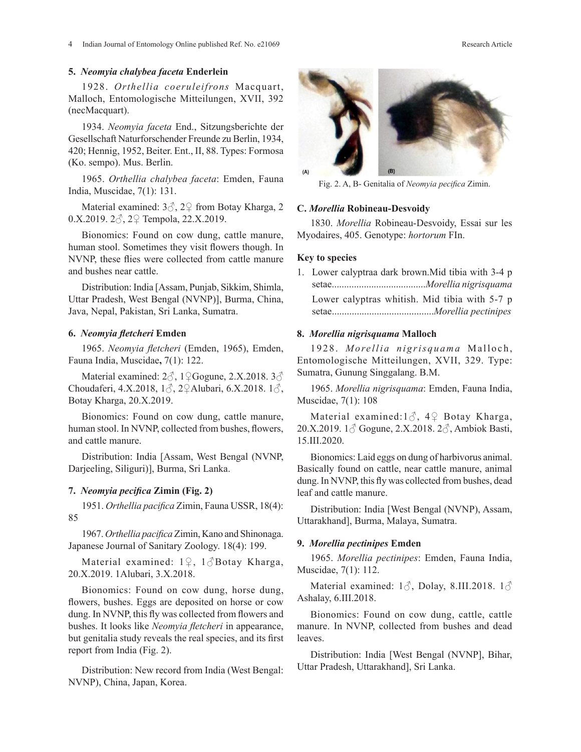## **5.** *Neomyia chalybea faceta* **Enderlein**

1928. *Orthellia coeruleifrons* Macquart, Malloch, Entomologische Mitteilungen, XVII, 392 (necMacquart).

1934. *Neomyia faceta* End., Sitzungsberichte der Gesellschaft Naturforschender Freunde zu Berlin, 1934, 420; Hennig, 1952, Beiter. Ent., II, 88. Types: Formosa (Ko. sempo). Mus. Berlin.

1965. *Orthellia chalybea faceta*: Emden, Fauna India, Muscidae, 7(1): 131.

Material examined: 3♂, 2♀ from Botay Kharga, 2 C. Morellia Robineau-Desvoidy 0.X.2019. 2♂, 2♀ Tempola, 22.X.2019.

Bionomics: Found on cow dung, cattle manure, human stool. Sometimes they visit flowers though. In NVNP, these flies were collected from cattle manure and bushes near cattle.

Distribution: India [Assam, Punjab, Sikkim, Shimla, Uttar Pradesh, West Bengal (NVNP)], Burma, China, Java, Nepal, Pakistan, Sri Lanka, Sumatra.

# **6.** *Neomyia fletcheri* **Emden**

1965. *Neomyia fletcheri* (Emden, 1965), Emden, Fauna India, Muscidae**,** 7(1): 122.

Material examined: 2♂, 1♀Gogune, 2.X.2018. 3♂ Choudaferi, 4.X.2018, 1♂, 2♀Alubari, 6.X.2018. 1♂, Botay Kharga, 20.X.2019.

Bionomics: Found on cow dung, cattle manure, human stool. In NVNP, collected from bushes, flowers, and cattle manure.

Distribution: India [Assam, West Bengal (NVNP, Darjeeling, Siliguri)], Burma, Sri Lanka.

## **7.** *Neomyia pecifica* **Zimin (Fig. 2)**

1951. *Orthellia pacifica* Zimin, Fauna USSR, 18(4): 85

1967. *Orthellia pacifica* Zimin, Kano and Shinonaga. Japanese Journal of Sanitary Zoology. 18(4): 199. **9. Morellia pectinipes Emden** 

Material examined: 1♀, 1♂Botay Kharga, 20.X.2019. 1Alubari, 3.X.2018. Muscidae, 7(1): 112.

flowers, bushes. Eggs are deposited on horse or cow *ASHAIAY*, 0.111.2016. dung. In NVNP, this fly was collected from flowers and bushes. It looks like *Neomyia fletcheri* in appearance, but genitalia study reveals the real species, and its first report from India (Fig. 2).

Distribution: New record from India (West Bengal: NVNP), China, Japan, Korea.

Fig. 2. A, B- Genitalia of *Neomyia pecifica* Zimin.

# **C.** *Morellia* **Robineau-Desvoidy**

1830. *Morellia* Robineau-Desvoidy, Essai sur les Myodaires, 405. Genotype: *hortorum* FIn.

#### **Key to species**

1. Lower calyptraa dark brown.Mid tibia with 3-4 p setae......................................*Morellia nigrisquama* Lower calyptras whitish. Mid tibia with 5-7 p setae.........................................*Morellia pectinipes*

# **8.** *Morellia nigrisquama* **Malloch**

1928. Morellia nigrisquama Malloch, Entomologische Mitteilungen, XVII, 329. Type: Sumatra, Gunung Singgalang. B.M.

1965. *Morellia nigrisquama*: Emden, Fauna India, Muscidae, 7(1): 108

Material examined:1 $\circ$ , 4 $\circ$  Botay Kharga, 20.X.2019. 1♂ Gogune, 2.X.2018. 2♂, Ambiok Basti, 15.III.2020.

Bionomics: Laid eggs on dung of harbivorus animal. Basically found on cattle, near cattle manure, animal dung. In NVNP, this fly was collected from bushes, dead leaf and cattle manure.

Distribution: India [West Bengal (NVNP), Assam, Uttarakhand], Burma, Malaya, Sumatra.

#### **9.** *Morellia pectinipes* **Emden**

erial examined: 19, 1&Botay Kharga, *hervellia pectinipes*: Emden, Fauna India, Muscidae, 7(1): 112.

Bionomics: Found on cow dung, horse dung, Material examined. 10, Dolay, 8.111.2018. 10 omics: Found on cow dung horse dung Material examined: 1 $\delta$ , Dolay, 8.III.2018. 1 $\delta$ Ashalay, 6.III.2018.

> Bionomics: Found on cow dung, cattle, cattle manure. In NVNP, collected from bushes and dead leaves.

> Distribution: India [West Bengal (NVNP], Bihar, Uttar Pradesh, Uttarakhand], Sri Lanka.

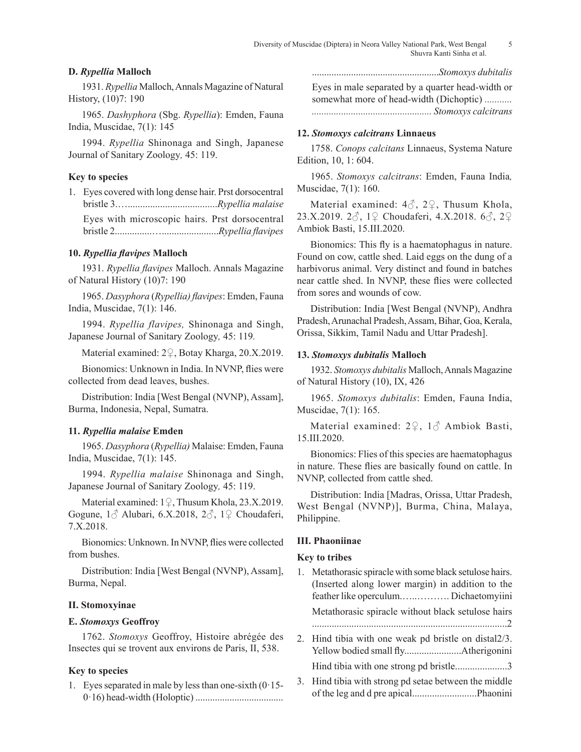# **D.** *Rypellia* **Malloch**

1931. *Rypellia* Malloch, Annals Magazine of Natural History, (10)7: 190

1965. *Dashyphora* (Sbg. *Rypellia*): Emden, Fauna India, Muscidae, 7(1): 145

1994. *Rypellia* Shinonaga and Singh, Japanese Journal of Sanitary Zoology*,* 45: 119.

# **Key to species**

1. Eyes covered with long dense hair. Prst dorsocentral bristle 3.…....................................*Rypellia malaise* Eyes with microscopic hairs. Prst dorsocentral bristle 2...............….......................*Rypellia flavipes*

# **10.** *Rypellia flavipes* **Malloch**

1931. *Rypellia flavipes* Malloch. Annals Magazine of Natural History (10)7: 190

1965. *Dasyphora* (*Rypellia) flavipes*: Emden, Fauna India, Muscidae, 7(1): 146.

1994. *Rypellia flavipes,* Shinonaga and Singh, Japanese Journal of Sanitary Zoology*,* 45: 119*.*

Material examined: 2♀, Botay Kharga, 20.X.2019.

Bionomics: Unknown in India. In NVNP, flies were collected from dead leaves, bushes.

Distribution: India [West Bengal (NVNP), Assam], Burma, Indonesia, Nepal, Sumatra.

# **11.** *Rypellia malaise* **Emden**

1965. *Dasyphora* (*Rypellia)* Malaise: Emden, Fauna India, Muscidae, 7(1): 145.

1994. *Rypellia malaise* Shinonaga and Singh, Japanese Journal of Sanitary Zoology*,* 45: 119.

Material examined: 1♀, Thusum Khola, 23.X.2019. Gogune,  $1\delta$  Alubari, 6.X.2018,  $2\delta$ ,  $1\delta$  Choudaferi, 7.X.2018.

Bionomics: Unknown. In NVNP, flies were collected from bushes.

Distribution: India [West Bengal (NVNP), Assam], Burma, Nepal.

# **II. Stomoxyinae**

## **E.** *Stomoxys* **Geoffroy**

1762. *Stomoxys* Geoffroy, Histoire abrégée des Insectes qui se trovent aux environs de Paris, II, 538.

# **Key to species**

1. Eyes separated in male by less than one-sixth (0·15- 0·16) head-width (Holoptic) ....................................

....................................................*Stomoxys dubitalis*

Eyes in male separated by a quarter head-width or somewhat more of head-width (Dichoptic) *........... ................................................. Stomoxys calcitrans*

#### **12.** *Stomoxys calcitrans* **Linnaeus**

1758. *Conops calcitans* Linnaeus, Systema Nature Edition, 10, 1: 604.

1965. *Stomoxys calcitrans*: Emden, Fauna India*,*  Muscidae, 7(1): 160.

Material examined:  $4\delta$ ,  $2\Omega$ , Thusum Khola, 23.X.2019. 2♂, 1♀ Choudaferi, 4.X.2018. 6♂, 2♀ Ambiok Basti, 15.III.2020.

Bionomics: This fly is a haematophagus in nature. Found on cow, cattle shed. Laid eggs on the dung of a harbivorus animal. Very distinct and found in batches near cattle shed. In NVNP, these flies were collected from sores and wounds of cow.

Distribution: India [West Bengal (NVNP), Andhra Pradesh, Arunachal Pradesh, Assam, Bihar, Goa, Kerala, Orissa, Sikkim, Tamil Nadu and Uttar Pradesh].

# **13.** *Stomoxys dubitalis* **Malloch**

1932. *Stomoxys dubitalis* Malloch, Annals Magazine of Natural History (10), IX, 426

1965. *Stomoxys dubitalis*: Emden, Fauna India, Muscidae, 7(1): 165.

Material examined: 2♀, 1♂ Ambiok Basti, 15.III.2020.

Bionomics: Flies of this species are haematophagus in nature. These flies are basically found on cattle. In NVNP, collected from cattle shed.

Distribution: India [Madras, Orissa, Uttar Pradesh, West Bengal (NVNP)], Burma, China, Malaya, Philippine.

# **III. Phaoniinae**

#### **Key to tribes**

- 1. Metathorasic spiracle with some black setulose hairs. (Inserted along lower margin) in addition to the feather like operculum.…..………. Dichaetomyiini Metathorasic spiracle without black setulose hairs ...............................................................................2
- 2. Hind tibia with one weak pd bristle on distal2/3. Yellow bodied small fly.......................Atherigonini Hind tibia with one strong pd bristle......................3
- 3. Hind tibia with strong pd setae between the middle of the leg and d pre apical..........................Phaonini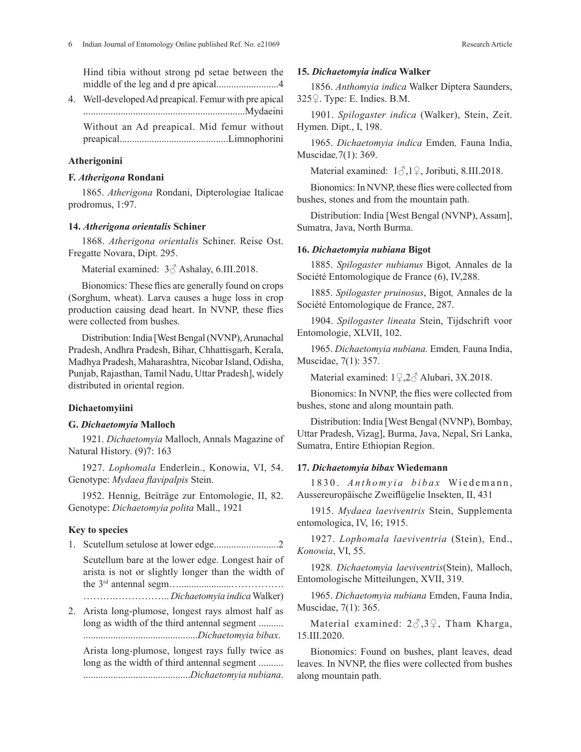Hind tibia without strong pd setae between the middle of the leg and d pre apical.........................4

4. Well-developed Ad preapical. Femur with pre apical .................................................................Mydaeini Without an Ad preapical. Mid femur without

preapical............................................Limnophorini

# **Atherigonini**

# **F.** *Atherigona* **Rondani**

1865. *Atherigona* Rondani, Dipterologiae Italicae prodromus, 1:97.

#### **14.** *Atherigona orientalis* **Schiner**

1868. *Atherigona orientalis* Schiner. Reise Ost. Fregatte Novara, Dipt. 295.

Material examined: 3♂ Ashalay, 6.III.2018.

Bionomics: These flies are generally found on crops (Sorghum, wheat). Larva causes a huge loss in crop production causing dead heart. In NVNP, these flies were collected from bushes.

Distribution: India [West Bengal (NVNP), Arunachal Pradesh, Andhra Pradesh, Bihar, Chhattisgarh, Kerala, Madhya Pradesh, Maharashtra, Nicobar Island, Odisha, Punjab, Rajasthan, Tamil Nadu, Uttar Pradesh], widely distributed in oriental region.

## **Dichaetomyiini**

## **G.** *Dichaetomyia* **Malloch**

1921. *Dichaetomyia* Malloch, Annals Magazine of Natural History. (9)7: 163

1927. *Lophomala* Enderlein., Konowia, VI, 54. Genotype: *Mydaea flavipalpis* Stein.

1952. Hennig, Beiträge zur Entomologie, II, 82. Genotype: *Dichaetomyia polita* Mall., 1921

# **Key to species**

- 1. Scutellum setulose at lower edge..........................2
	- Scutellum bare at the lower edge. Longest hair of arista is not or slightly longer than the width of the 3rd antennal segm….....................……………. ……….…………….. *Dichaetomyia indica* Walker)
- 2. Arista long-plumose, longest rays almost half as long as width of the third antennal segment .......... ..............................................*Dichaetomyia bibax*.

Arista long-plumose, longest rays fully twice as long as the width of third antennal segment .......... ...........................................*Dichaetomyia nubiana*.

#### **15.** *Dichaetomyia indica* **Walker**

1856. *Anthomyia indica* Walker Diptera Saunders, 325♀. Type: E. Indies. B.M.

1901. *Spilogaster indica* (Walker), Stein, Zeit. Hymen. Dipt., I, 198.

1965. *Dichaetomyia indica* Emden*,* Fauna India, Muscidae*,*7(1): 369.

Material examined: 1♂,1♀, Joributi, 8.III.2018.

Bionomics: In NVNP, these flies were collected from bushes, stones and from the mountain path.

Distribution: India [West Bengal (NVNP), Assam], Sumatra, Java, North Burma.

# **16.** *Dichaetomyia nubiana* **Bigot**

1885. *Spilogaster nubianus* Bigot*,* Annales de la Société Entomologique de France (6), IV,288.

1885. *Spilogaster pruinosus*, Bigot*,* Annales de la Société Entomologique de France, 287.

1904. *Spilogaster lineata* Stein, Tijdschrift voor Entomologie, XLVII, 102.

1965. *Dichaetomyia nubiana.* Emden*,* Fauna India, Muscidae, 7(1): 357.

Material examined: 1♀,2♂ Alubari, 3X.2018.

Bionomics: In NVNP, the flies were collected from bushes, stone and along mountain path.

Distribution: India [West Bengal (NVNP), Bombay, Uttar Pradesh, Vizag], Burma, Java, Nepal, Sri Lanka, Sumatra, Entire Ethiopian Region.

## **17.** *Dichaetomyia bibax* **Wiedemann**

1830. Anthomyia bibax Wiedemann, Aussereuropäische Zweiflügelie Insekten, II, 431

1915. *Mydaea laeviventris* Stein, Supplementa entomologica, IV, 16; 1915.

1927. *Lophomala laeviventria* (Stein), End., *Konowia*, VI, 55.

1928*. Dichaetomyia laeviventris*(Stein), Malloch, Entomologische Mitteilungen, XVII, 319.

1965. *Dichaetomyia nubiana* Emden, Fauna India, Muscidae, 7(1): 365.

Material examined:  $2\delta$ , 3 $\Omega$ , Tham Kharga, 15.III.2020.

Bionomics: Found on bushes, plant leaves, dead leaves. In NVNP, the flies were collected from bushes along mountain path.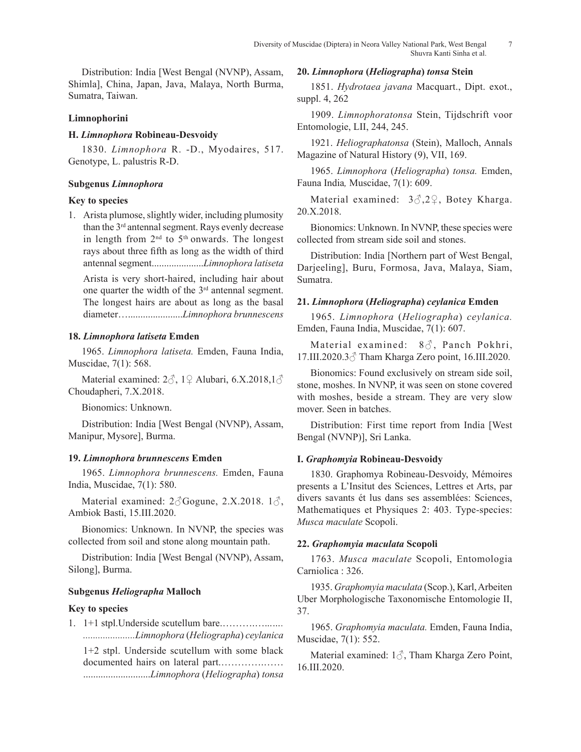Distribution: India [West Bengal (NVNP), Assam, Shimla], China, Japan, Java, Malaya, North Burma, Sumatra, Taiwan.

# **Limnophorini**

# **H.** *Limnophora* **Robineau-Desvoidy**

1830. *Limnophora* R. -D., Myodaires, 517. Genotype, L. palustris R-D.

# **Subgenus** *Limnophora*

# **Key to species**

1. Arista plumose, slightly wider, including plumosity than the 3rd antennal segment. Rays evenly decrease in length from  $2<sup>nd</sup>$  to  $5<sup>th</sup>$  onwards. The longest rays about three fifth as long as the width of third antennal segment.....................*Limnophora latiseta*

Arista is very short-haired, including hair about one quarter the width of the  $3<sup>rd</sup>$  antennal segment. The longest hairs are about as long as the basal diameter…......................*Limnophora brunnescens*

# **18.** *Limnophora latiseta* **Emden**

1965. *Limnophora latiseta.* Emden, Fauna India, Muscidae, 7(1): 568.

Material examined: 2♂, 1♀ Alubari, 6.X.2018,1♂ Choudapheri, 7.X.2018.

Bionomics: Unknown.

Distribution: India [West Bengal (NVNP), Assam, Manipur, Mysore], Burma.

# **19.** *Limnophora brunnescens* **Emden**

1965. *Limnophora brunnescens.* Emden, Fauna India, Muscidae, 7(1): 580.

Material examined:  $2\textcircled{}$  Gogune, 2.X.2018.  $1\textcircled{}$ , Ambiok Basti, 15.III.2020.

Bionomics: Unknown. In NVNP, the species was collected from soil and stone along mountain path.

Distribution: India [West Bengal (NVNP), Assam, Silong], Burma.

# **Subgenus** *Heliographa* **Malloch**

# **Key to species**

1. 1+1 stpl.Underside scutellum bare.……….…...*…. .....................Limnophora* (*Heliographa*) *ceylanica* 1+2 stpl. Underside scutellum with some black documented hairs on lateral part.………….…… ...........................*Limnophora* (*Heliographa*) *tonsa*

## **20.** *Limnophora* **(***Heliographa***)** *tonsa* **Stein**

1851. *Hydrotaea javana* Macquart., Dipt. exot., suppl. 4, 262

1909. *Limnophoratonsa* Stein, Tijdschrift voor Entomologie, LII, 244, 245.

1921. *Heliographatonsa* (Stein), Malloch, Annals Magazine of Natural History (9), VII, 169.

1965. *Limnophora* (*Heliographa*) *tonsa.* Emden, Fauna India*,* Muscidae, 7(1): 609.

Material examined:  $3\textcircled{3}.2\textcircled{2}$ , Botey Kharga. 20.X.2018.

Bionomics: Unknown. In NVNP, these species were collected from stream side soil and stones.

Distribution: India [Northern part of West Bengal, Darjeeling], Buru, Formosa, Java, Malaya, Siam, Sumatra.

# **21.** *Limnophora* **(***Heliographa***)** *ceylanica* **Emden**

1965. *Limnophora* (*Heliographa*) *ceylanica.* Emden, Fauna India, Muscidae, 7(1): 607.

Material examined: 8♂, Panch Pokhri, 17.III.2020.3♂ Tham Kharga Zero point, 16.III.2020.

Bionomics: Found exclusively on stream side soil, stone, moshes. In NVNP, it was seen on stone covered with moshes, beside a stream. They are very slow mover. Seen in batches.

Distribution: First time report from India [West Bengal (NVNP)], Sri Lanka.

# **I.** *Graphomyia* **Robineau-Desvoidy**

1830. Graphomya Robineau-Desvoidy, Mémoires presents a L'Insitut des Sciences, Lettres et Arts, par divers savants ét lus dans ses assemblées: Sciences, Mathematiques et Physiques 2: 403. Type-species: *Musca maculate* Scopoli.

# **22.** *Graphomyia maculata* **Scopoli**

1763. *Musca maculate* Scopoli, Entomologia Carniolica : 326.

1935. *Graphomyia maculata* (Scop.), Karl, Arbeiten Uber Morphologische Taxonomische Entomologie II, 37.

1965. *Graphomyia maculata.* Emden, Fauna India, Muscidae, 7(1): 552.

Material examined: 1♂, Tham Kharga Zero Point, 16.III.2020.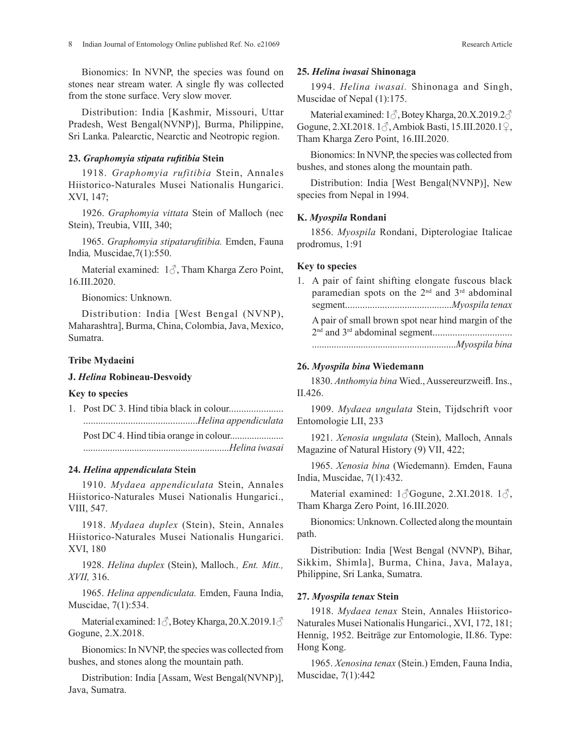Bionomics: In NVNP, the species was found on stones near stream water. A single fly was collected from the stone surface. Very slow mover.

Distribution: India [Kashmir, Missouri, Uttar Pradesh, West Bengal(NVNP)], Burma, Philippine, Sri Lanka. Palearctic, Nearctic and Neotropic region.

# **23.** *Graphomyia stipata rufitibia* **Stein**

1918. *Graphomyia rufitibia* Stein, Annales Hiistorico-Naturales Musei Nationalis Hungarici. XVI, 147;

1926. *Graphomyia vittata* Stein of Malloch (nec Stein), Treubia, VIII, 340;

1965. *Graphomyia stipatarufitibia.* Emden, Fauna India*,* Muscidae,7(1):550.

Material examined: 1♂, Tham Kharga Zero Point, 16.III.2020.

Bionomics: Unknown.

Distribution: India [West Bengal (NVNP), Maharashtra], Burma, China, Colombia, Java, Mexico, Sumatra.

# **Tribe Mydaeini**

## **J.** *Helina* **Robineau-Desvoidy**

# **Key to species**

1. Post DC 3. Hind tibia black in colour...................... ..............................................*Helina appendiculata* Post DC 4. Hind tibia orange in colour...................... ............................................................*Helina iwasai*

#### **24.** *Helina appendiculata* **Stein**

1910. *Mydaea appendiculata* Stein, Annales Hiistorico-Naturales Musei Nationalis Hungarici., VIII, 547.

1918. *Mydaea duplex* (Stein), Stein, Annales Hiistorico-Naturales Musei Nationalis Hungarici. XVI, 180

1928. *Helina duplex* (Stein), Malloch*., Ent. Mitt., XVII,* 316.

1965. *Helina appendiculata.* Emden, Fauna India, Muscidae, 7(1):534.

Material examined:  $1\delta$ , Botey Kharga, 20.X.2019.1 $\delta$ Gogune, 2.X.2018.

Bionomics: In NVNP, the species was collected from bushes, and stones along the mountain path.

Distribution: India [Assam, West Bengal(NVNP)], Java, Sumatra.

#### **25.** *Helina iwasai* **Shinonaga**

1994. *Helina iwasai.* Shinonaga and Singh, Muscidae of Nepal (1):175.

Material examined: 1  $\Diamond$ , Botey Kharga, 20.X.2019.2  $\Diamond$ Gogune, 2.XI.2018. 1♂, Ambiok Basti, 15.III.2020.1♀, Tham Kharga Zero Point, 16.III.2020.

Bionomics: In NVNP, the species was collected from bushes, and stones along the mountain path.

Distribution: India [West Bengal(NVNP)], New species from Nepal in 1994.

#### **K.** *Myospila* **Rondani**

1856. *Myospila* Rondani, Dipterologiae Italicae prodromus, 1:91

## **Key to species**

| 1. A pair of faint shifting elongate fuscous black<br>paramedian spots on the 2 <sup>nd</sup> and 3 <sup>rd</sup> abdominal |
|-----------------------------------------------------------------------------------------------------------------------------|
| A pair of small brown spot near hind margin of the<br>Myospila bina                                                         |

# **26.** *Myospila bina* **Wiedemann**

1830. *Anthomyia bina* Wied., Aussereurzweifl. Ins., II.426.

1909. *Mydaea ungulata* Stein, Tijdschrift voor Entomologie LII, 233

1921. *Xenosia ungulata* (Stein), Malloch, Annals Magazine of Natural History (9) VII, 422;

1965. *Xenosia bina* (Wiedemann). Emden, Fauna India, Muscidae, 7(1):432.

Material examined:  $1\textcircled{}G$ ogune, 2.XI.2018.  $1\textcircled{}$ , Tham Kharga Zero Point, 16.III.2020.

Bionomics: Unknown. Collected along the mountain path.

Distribution: India [West Bengal (NVNP), Bihar, Sikkim, Shimla], Burma, China, Java, Malaya, Philippine, Sri Lanka, Sumatra.

## **27.** *Myospila tenax* **Stein**

1918. *Mydaea tenax* Stein, Annales Hiistorico-Naturales Musei Nationalis Hungarici., XVI, 172, 181; Hennig, 1952. Beiträge zur Entomologie, II.86. Type: Hong Kong.

1965. *Xenosina tenax* (Stein.) Emden, Fauna India, Muscidae, 7(1):442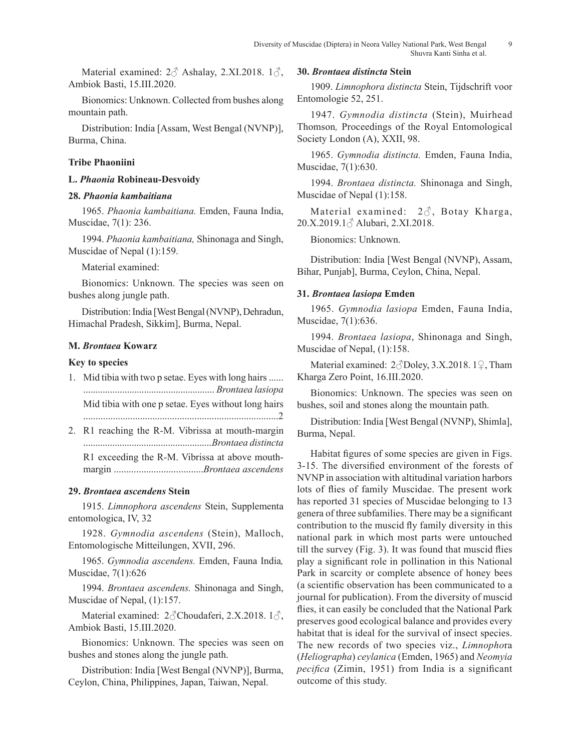Material examined:  $2\delta$  Ashalay, 2.XI.2018.  $1\delta$ , Ambiok Basti, 15.III.2020.

Bionomics: Unknown. Collected from bushes along mountain path.

Distribution: India [Assam, West Bengal (NVNP)], Burma, China.

## **Tribe Phaoniini**

#### **L.** *Phaonia* **Robineau-Desvoidy**

## **28.** *Phaonia kambaitiana*

1965. *Phaonia kambaitiana.* Emden, Fauna India, Muscidae, 7(1): 236.

1994. *Phaonia kambaitiana,* Shinonaga and Singh, Muscidae of Nepal (1):159.

Material examined:

Bionomics: Unknown. The species was seen on bushes along jungle path.

Distribution: India [West Bengal (NVNP), Dehradun, Himachal Pradesh, Sikkim], Burma, Nepal.

## **M.** *Brontaea* **Kowarz**

## **Key to species**

- 1. Mid tibia with two p setae. Eyes with long hairs ...... ...................................................... *Brontaea lasiopa* Mid tibia with one p setae. Eyes without long hairs ...............................................................................2
- 2. R1 reaching the R-M. Vibrissa at mouth-margin .....................................................*Brontaea distincta*

R1 exceeding the R-M. Vibrissa at above mouthmargin ....................................*Brontaea ascendens*

# **29.** *Brontaea ascendens* **Stein**

1915. *Limnophora ascendens* Stein, Supplementa entomologica, IV, 32

1928. *Gymnodia ascendens* (Stein), Malloch, Entomologische Mitteilungen, XVII, 296.

1965. *Gymnodia ascendens.* Emden, Fauna India*,*  Muscidae, 7(1):626

1994. *Brontaea ascendens.* Shinonaga and Singh, Muscidae of Nepal, (1):157.

Material examined: 2 choudaferi, 2.X.2018. 1 c $\beta$ , Ambiok Basti, 15.III.2020.

Bionomics: Unknown. The species was seen on bushes and stones along the jungle path.

Distribution: India [West Bengal (NVNP)], Burma, Ceylon, China, Philippines, Japan, Taiwan, Nepal.

#### **30.** *Brontaea distincta* **Stein**

1909. *Limnophora distincta* Stein, Tijdschrift voor Entomologie 52, 251.

1947. *Gymnodia distincta* (Stein), Muirhead Thomson*,* Proceedings of the Royal Entomological Society London (A), XXII, 98.

1965. *Gymnodia distincta.* Emden, Fauna India, Muscidae, 7(1):630.

1994. *Brontaea distincta.* Shinonaga and Singh, Muscidae of Nepal (1):158.

Material examined:  $2\delta$ , Botay Kharga, 20.X.2019.1♂ Alubari, 2.XI.2018.

Bionomics: Unknown.

Distribution: India [West Bengal (NVNP), Assam, Bihar, Punjab], Burma, Ceylon, China, Nepal.

# **31.** *Brontaea lasiopa* **Emden**

1965. *Gymnodia lasiopa* Emden, Fauna India, Muscidae, 7(1):636.

1994. *Brontaea lasiopa*, Shinonaga and Singh, Muscidae of Nepal, (1):158.

Material examined: 2♂Doley, 3.X.2018. 1♀, Tham Kharga Zero Point, 16.III.2020.

Bionomics: Unknown. The species was seen on bushes, soil and stones along the mountain path.

Distribution: India [West Bengal (NVNP), Shimla], Burma, Nepal.

Habitat figures of some species are given in Figs. 3-15. The diversified environment of the forests of NVNP in association with altitudinal variation harbors lots of flies of family Muscidae. The present work has reported 31 species of Muscidae belonging to 13 genera of three subfamilies. There may be a significant contribution to the muscid fly family diversity in this national park in which most parts were untouched till the survey (Fig. 3). It was found that muscid flies play a significant role in pollination in this National Park in scarcity or complete absence of honey bees (a scientific observation has been communicated to a journal for publication). From the diversity of muscid flies, it can easily be concluded that the National Park preserves good ecological balance and provides every habitat that is ideal for the survival of insect species. The new records of two species viz., *Limnopho*ra (*Heliographa*) *ceylanica* (Emden, 1965) and *Neomyia pecifica* (Zimin, 1951) from India is a significant outcome of this study.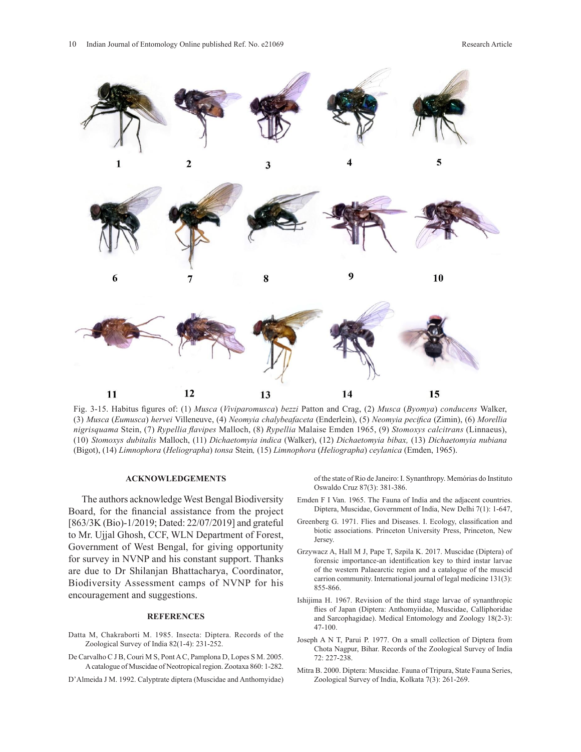

Fig. 3-15. Habitus figures of: (1) Musca (Viviparomusca) bezzi Patton and Crag, (2) Musca (Byomya) conducens Walker, (3) Musca (Eumusca) hervei Villeneuve, (4) Neomyia chalybeafaceta (Enderlein), (5) Neomyia pecifica (Zimin), (6) Morellia *nigrisquama* Stein, (7) *Rypellia flavipes* Malloch, (8) *Rypellia* Malaise Emden 1965, (9) *Stomoxys calcitrans* (Linnaeus), ntgrisquama stetit, (*i) Kypetita Jiavipes* Manocit, (*s) Kypetita* Malaise Endeli 1905, (9) Stomoxys calcurans (Lititateus),<br>(10) Stomoxys dubitalis Malloch, (11) Dichaetomyia indica (Walker), (12) Dichaetomyia bibax, (13 (Bigot), (14) Limnophora (Heliographa) tonsa Stein, (15) Limnophora (Heliographa) ceylanica (Emden, 1965). *Dichaetomyia indica* (Walker), (12) *Dichaetomyia bibax,* (13) *Dichaetomyia nubiana* (Bigot), (14)

## **ACKNOWLEDGEMENTS**

The authors acknowledge West Bengal Biodiversity Board, for the financial assistance from the project [863/3K (Bio)-1/2019; Dated: 22/07/2019] and grateful to Mr. Ujjal Ghosh, CCF, WLN Department of Forest, Government of West Bengal, for giving opportunity for survey in NVNP and his constant support. Thanks are due to Dr Shilanjan Bhattacharya, Coordinator, Biodiversity Assessment camps of NVNP for his encouragement and suggestions.

#### **REFERENCES**

- Datta M, Chakraborti M. 1985. Insecta: Diptera. Records of the Zoological Survey of India 82(1-4): 231-252.
- De Carvalho C J B, Couri M S, Pont A C, Pamplona D, Lopes S M. 2005. A catalogue of Muscidae of Neotropical region. Zootaxa 860: 1-282.
- D'Almeida J M. 1992. Calyptrate diptera (Muscidae and Anthomyidae)

of the state of Rio de Janeiro: I. Synanthropy. Memórias do Instituto Oswaldo Cruz 87(3): 381-386. *Limnophora* (*Heliographa*) *tonsa* Stein*,* (15) *Limnophora* (*Heliographa*) *ceylanica* (Emden, 1965).

- Emden F I Van. 1965. The Fauna of India and the adjacent countries. Diptera, Muscidae, Government of India, New Delhi 7(1): 1-647,
- Greenberg G. 1971. Flies and Diseases. I. Ecology, classification and biotic associations. Princeton University Press, Princeton, New Jersey.
- Grzywacz A, Hall M J, Pape T, Szpila K. 2017. Muscidae (Diptera) of forensic importance-an identification key to third instar larvae of the western Palaearctic region and a catalogue of the muscid carrion community. International journal of legal medicine 131(3): 855-866.
- Ishijima H. 1967. Revision of the third stage larvae of synanthropic flies of Japan (Diptera: Anthomyiidae, Muscidae, Calliphoridae and Sarcophagidae). Medical Entomology and Zoology 18(2-3): 47-100.
- Joseph A N T, Parui P. 1977. On a small collection of Diptera from Chota Nagpur, Bihar. Records of the Zoological Survey of India 72: 227-238.
- Mitra B. 2000. Diptera: Muscidae. Fauna of Tripura, State Fauna Series, Zoological Survey of India, Kolkata 7(3): 261-269.